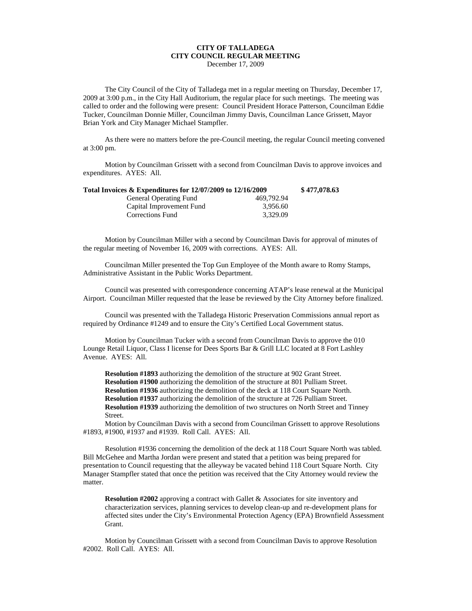## **CITY OF TALLADEGA CITY COUNCIL REGULAR MEETING** December 17, 2009

The City Council of the City of Talladega met in a regular meeting on Thursday, December 17, 2009 at 3:00 p.m., in the City Hall Auditorium, the regular place for such meetings. The meeting was called to order and the following were present: Council President Horace Patterson, Councilman Eddie Tucker, Councilman Donnie Miller, Councilman Jimmy Davis, Councilman Lance Grissett, Mayor Brian York and City Manager Michael Stampfler.

As there were no matters before the pre-Council meeting, the regular Council meeting convened at 3:00 pm.

Motion by Councilman Grissett with a second from Councilman Davis to approve invoices and expenditures. AYES: All.

| Total Invoices & Expenditures for 12/07/2009 to 12/16/2009 |            | \$477,078.63 |
|------------------------------------------------------------|------------|--------------|
| <b>General Operating Fund</b>                              | 469.792.94 |              |
| Capital Improvement Fund                                   | 3.956.60   |              |
| Corrections Fund                                           | 3.329.09   |              |

Motion by Councilman Miller with a second by Councilman Davis for approval of minutes of the regular meeting of November 16, 2009 with corrections. AYES: All.

Councilman Miller presented the Top Gun Employee of the Month aware to Romy Stamps, Administrative Assistant in the Public Works Department.

Council was presented with correspondence concerning ATAP's lease renewal at the Municipal Airport. Councilman Miller requested that the lease be reviewed by the City Attorney before finalized.

Council was presented with the Talladega Historic Preservation Commissions annual report as required by Ordinance #1249 and to ensure the City's Certified Local Government status.

Motion by Councilman Tucker with a second from Councilman Davis to approve the 010 Lounge Retail Liquor, Class I license for Dees Sports Bar & Grill LLC located at 8 Fort Lashley Avenue. AYES: All.

**Resolution #1893** authorizing the demolition of the structure at 902 Grant Street. **Resolution #1900** authorizing the demolition of the structure at 801 Pulliam Street. **Resolution #1936** authorizing the demolition of the deck at 118 Court Square North. **Resolution #1937** authorizing the demolition of the structure at 726 Pulliam Street. **Resolution #1939** authorizing the demolition of two structures on North Street and Tinney Street.

Motion by Councilman Davis with a second from Councilman Grissett to approve Resolutions #1893, #1900, #1937 and #1939. Roll Call. AYES: All.

Resolution #1936 concerning the demolition of the deck at 118 Court Square North was tabled. Bill McGehee and Martha Jordan were present and stated that a petition was being prepared for presentation to Council requesting that the alleyway be vacated behind 118 Court Square North. City Manager Stampfler stated that once the petition was received that the City Attorney would review the matter.

**Resolution #2002** approving a contract with Gallet & Associates for site inventory and characterization services, planning services to develop clean-up and re-development plans for affected sites under the City's Environmental Protection Agency (EPA) Brownfield Assessment Grant.

Motion by Councilman Grissett with a second from Councilman Davis to approve Resolution #2002. Roll Call. AYES: All.